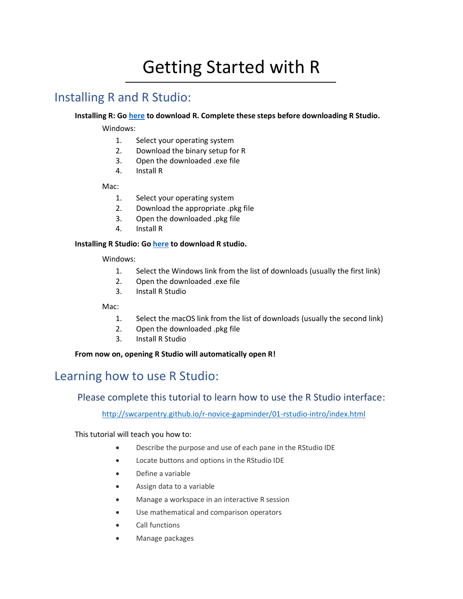# Getting Started with R

## Installing R and R Studio:

#### **Installing R: Go [here](https://cran.r-project.org/) to download R. Complete these steps before downloading R Studio.**

Windows:

- 1. Select your operating system
- 2. Download the binary setup for R
- 3. Open the downloaded .exe file
- 4. Install R

Mac:

- 1. Select your operating system
- 2. Download the appropriate .pkg file
- 3. Open the downloaded .pkg file
- 4. Install R

#### **Installing R Studio: G[o here](https://www.rstudio.com/products/rstudio/download/#download) to download R studio.**

Windows:

- 1. Select the Windows link from the list of downloads (usually the first link)
- 2. Open the downloaded .exe file
- 3. Install R Studio

Mac:

- 1. Select the macOS link from the list of downloads (usually the second link)
- 2. Open the downloaded .pkg file
- 3. Install R Studio

**From now on, opening R Studio will automatically open R!**

## Learning how to use R Studio:

### Please complete this tutorial to learn how to use the R Studio interface:

<http://swcarpentry.github.io/r-novice-gapminder/01-rstudio-intro/index.html>

This tutorial will teach you how to:

- Describe the purpose and use of each pane in the RStudio IDE
- Locate buttons and options in the RStudio IDE
- Define a variable
- Assign data to a variable
- Manage a workspace in an interactive R session
- Use mathematical and comparison operators
- Call functions
- Manage packages